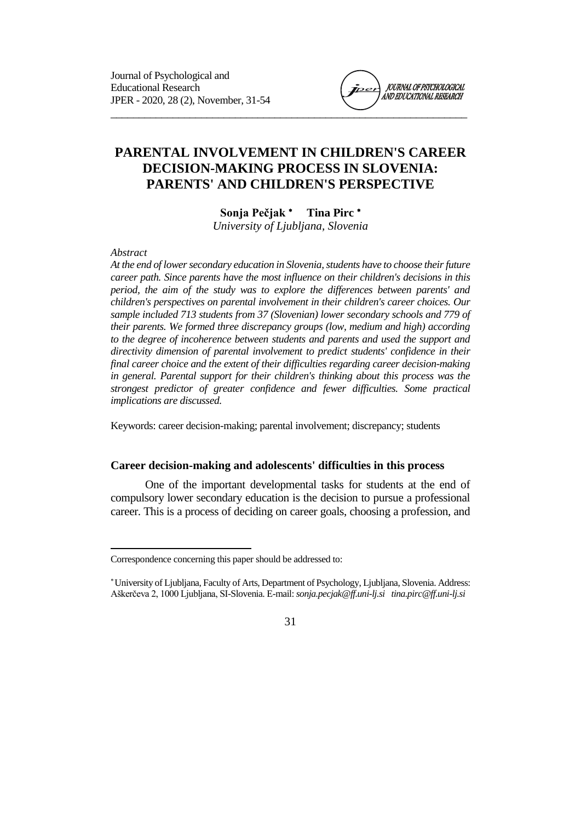

# **PARENTAL INVOLVEMENT IN CHILDREN'S CAREER DECISION-MAKING PROCESS IN SLOVENIA: PARENTS' AND CHILDREN'S PERSPECTIVE**

**Sonja Pečjak Tina Pirc** *University of Ljubljana, Slovenia*

*Abstract*

 $\overline{\phantom{a}}$ 

*At the end of lower secondary education in Slovenia, students have to choose their future career path. Since parents have the most influence on their children's decisions in this period, the aim of the study was to explore the differences between parents' and children's perspectives on parental involvement in their children's career choices. Our sample included 713 students from 37 (Slovenian) lower secondary schools and 779 of their parents. We formed three discrepancy groups (low, medium and high) according to the degree of incoherence between students and parents and used the support and directivity dimension of parental involvement to predict students' confidence in their final career choice and the extent of their difficulties regarding career decision-making in general. Parental support for their children's thinking about this process was the strongest predictor of greater confidence and fewer difficulties. Some practical implications are discussed.*

Keywords: career decision-making; parental involvement; discrepancy; students

### **Career decision-making and adolescents' difficulties in this process**

One of the important developmental tasks for students at the end of compulsory lower secondary education is the decision to pursue a professional career. This is a process of deciding on career goals, choosing a profession, and

Correspondence concerning this paper should be addressed to:

University of Ljubljana, Faculty of Arts, Department of Psychology, Ljubljana, Slovenia. Address: Aškerčeva 2, 1000 Ljubljana, SI-Slovenia. E-mail: *sonja.pecjak@ff.uni-lj.si tina.pirc@ff.uni-lj.si*

<sup>31</sup>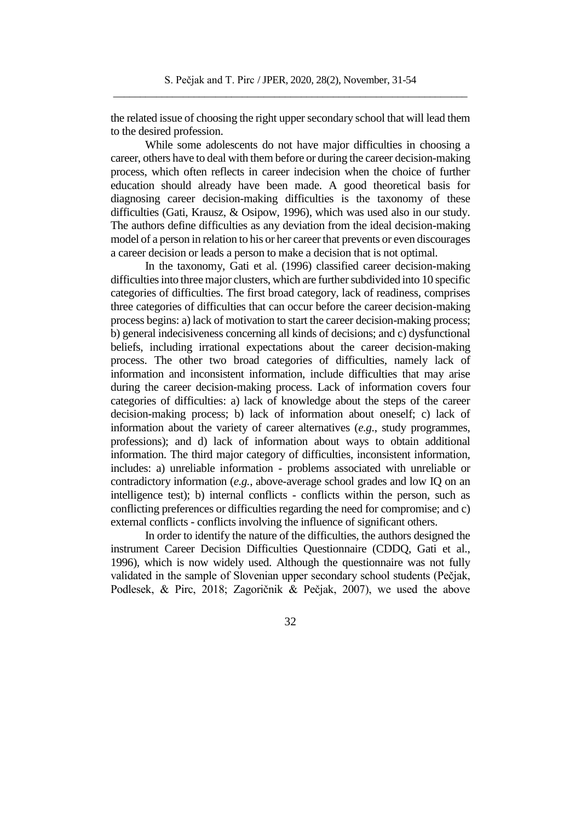the related issue of choosing the right upper secondary school that will lead them to the desired profession.

While some adolescents do not have major difficulties in choosing a career, others have to deal with them before or during the career decision-making process, which often reflects in career indecision when the choice of further education should already have been made. A good theoretical basis for diagnosing career decision-making difficulties is the taxonomy of these difficulties (Gati, Krausz, & Osipow, 1996), which was used also in our study. The authors define difficulties as any deviation from the ideal decision-making model of a person in relation to his or her career that prevents or even discourages a career decision or leads a person to make a decision that is not optimal.

In the taxonomy, Gati et al. (1996) classified career decision-making difficulties into three major clusters, which are further subdivided into 10 specific categories of difficulties. The first broad category, lack of readiness, comprises three categories of difficulties that can occur before the career decision-making process begins: a) lack of motivation to start the career decision-making process; b) general indecisiveness concerning all kinds of decisions; and c) dysfunctional beliefs, including irrational expectations about the career decision-making process. The other two broad categories of difficulties, namely lack of information and inconsistent information, include difficulties that may arise during the career decision-making process. Lack of information covers four categories of difficulties: a) lack of knowledge about the steps of the career decision-making process; b) lack of information about oneself; c) lack of information about the variety of career alternatives (*e.g*., study programmes, professions); and d) lack of information about ways to obtain additional information. The third major category of difficulties, inconsistent information, includes: a) unreliable information - problems associated with unreliable or contradictory information (*e.g.*, above-average school grades and low IQ on an intelligence test); b) internal conflicts - conflicts within the person, such as conflicting preferences or difficulties regarding the need for compromise; and c) external conflicts - conflicts involving the influence of significant others.

In order to identify the nature of the difficulties, the authors designed the instrument Career Decision Difficulties Questionnaire (CDDQ, Gati et al., 1996), which is now widely used. Although the questionnaire was not fully validated in the sample of Slovenian upper secondary school students (Pečjak, Podlesek, & Pirc, 2018; Zagoričnik & Pečjak, 2007), we used the above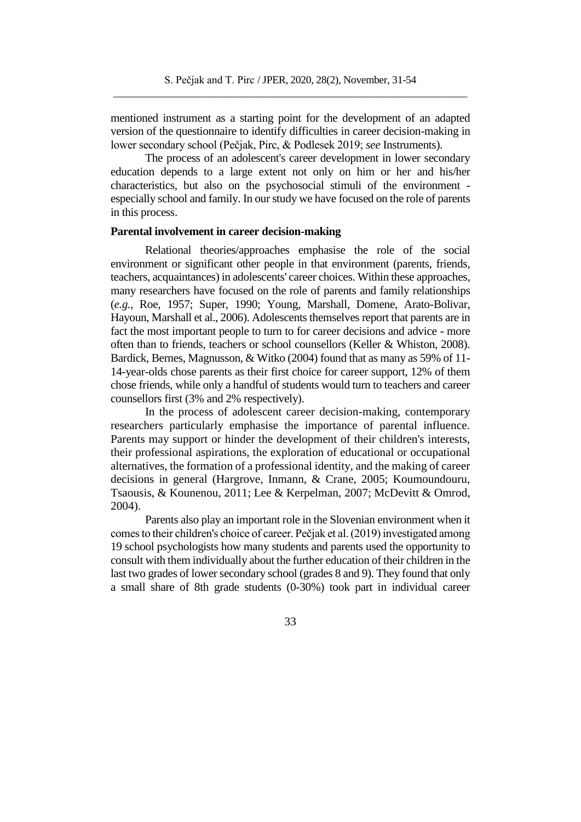mentioned instrument as a starting point for the development of an adapted version of the questionnaire to identify difficulties in career decision-making in lower secondary school (Pečjak, Pirc, & Podlesek 2019; *see* Instruments).

The process of an adolescent's career development in lower secondary education depends to a large extent not only on him or her and his/her characteristics, but also on the psychosocial stimuli of the environment especially school and family. In our study we have focused on the role of parents in this process.

#### **Parental involvement in career decision-making**

Relational theories/approaches emphasise the role of the social environment or significant other people in that environment (parents, friends, teachers, acquaintances) in adolescents' career choices. Within these approaches, many researchers have focused on the role of parents and family relationships (*e.g.*, Roe, 1957; Super, 1990; Young, Marshall, Domene, Arato-Bolivar, Hayoun, Marshall et al., 2006). Adolescents themselves report that parents are in fact the most important people to turn to for career decisions and advice - more often than to friends, teachers or school counsellors (Keller & Whiston, 2008). Bardick, Bernes, Magnusson, & Witko (2004) found that as many as 59% of 11- 14-year-olds chose parents as their first choice for career support, 12% of them chose friends, while only a handful of students would turn to teachers and career counsellors first (3% and 2% respectively).

In the process of adolescent career decision-making, contemporary researchers particularly emphasise the importance of parental influence. Parents may support or hinder the development of their children's interests, their professional aspirations, the exploration of educational or occupational alternatives, the formation of a professional identity, and the making of career decisions in general (Hargrove, Inmann, & Crane, 2005; Koumoundouru, Tsaousis, & Kounenou, 2011; Lee & Kerpelman, 2007; McDevitt & Omrod, 2004).

Parents also play an important role in the Slovenian environment when it comes to their children's choice of career. Pečjak et al. (2019) investigated among 19 school psychologists how many students and parents used the opportunity to consult with them individually about the further education of their children in the last two grades of lower secondary school (grades 8 and 9). They found that only a small share of 8th grade students (0-30%) took part in individual career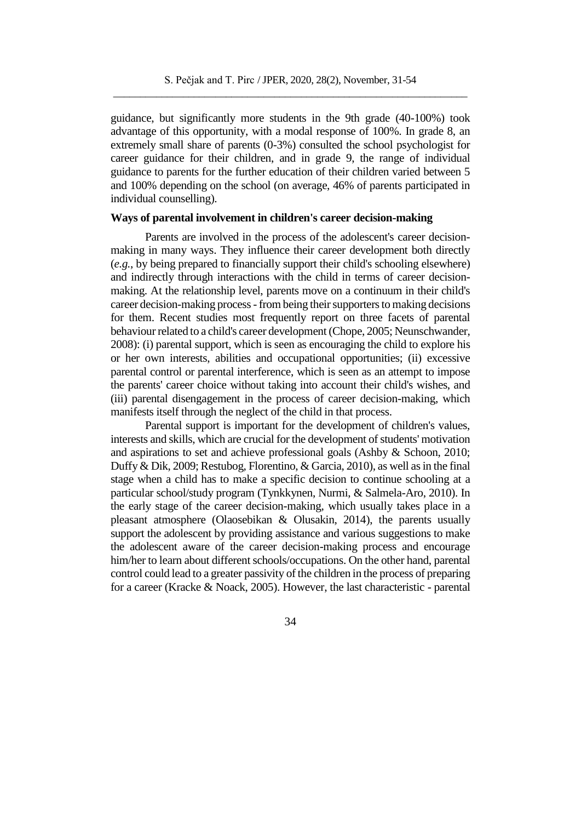guidance, but significantly more students in the 9th grade (40-100%) took advantage of this opportunity, with a modal response of 100%. In grade 8, an extremely small share of parents (0-3%) consulted the school psychologist for career guidance for their children, and in grade 9, the range of individual guidance to parents for the further education of their children varied between 5 and 100% depending on the school (on average, 46% of parents participated in individual counselling).

# **Ways of parental involvement in children's career decision-making**

Parents are involved in the process of the adolescent's career decisionmaking in many ways. They influence their career development both directly (*e.g.*, by being prepared to financially support their child's schooling elsewhere) and indirectly through interactions with the child in terms of career decisionmaking. At the relationship level, parents move on a continuum in their child's career decision-making process -from being their supporters to making decisions for them. Recent studies most frequently report on three facets of parental behaviour related to a child's career development (Chope, 2005; Neunschwander, 2008): (i) parental support, which is seen as encouraging the child to explore his or her own interests, abilities and occupational opportunities; (ii) excessive parental control or parental interference, which is seen as an attempt to impose the parents' career choice without taking into account their child's wishes, and (iii) parental disengagement in the process of career decision-making, which manifests itself through the neglect of the child in that process.

Parental support is important for the development of children's values, interests and skills, which are crucial for the development of students' motivation and aspirations to set and achieve professional goals (Ashby & Schoon, 2010; Duffy & Dik, 2009; Restubog, Florentino, & Garcia, 2010), as well as in the final stage when a child has to make a specific decision to continue schooling at a particular school/study program (Tynkkynen, Nurmi, & Salmela-Aro, 2010). In the early stage of the career decision-making, which usually takes place in a pleasant atmosphere (Olaosebikan & Olusakin, 2014), the parents usually support the adolescent by providing assistance and various suggestions to make the adolescent aware of the career decision-making process and encourage him/her to learn about different schools/occupations. On the other hand, parental control could lead to a greater passivity of the children in the process of preparing for a career (Kracke & Noack, 2005). However, the last characteristic - parental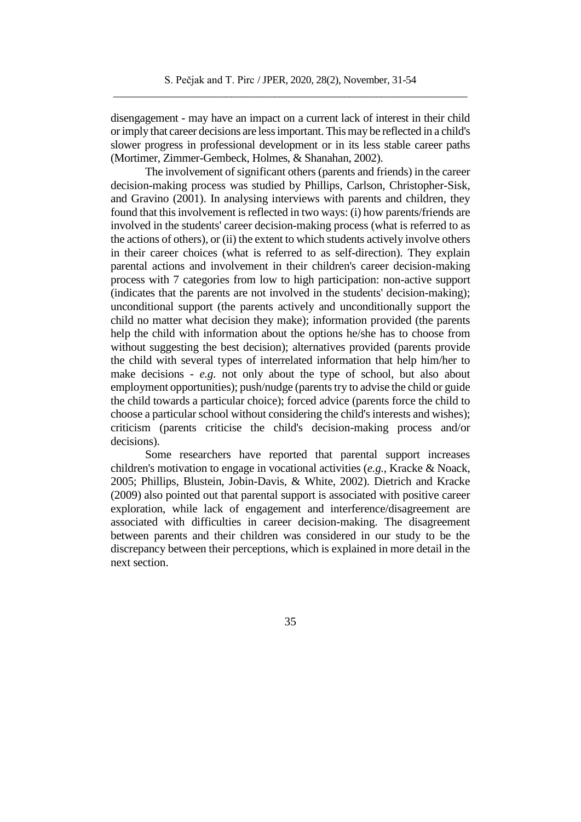disengagement - may have an impact on a current lack of interest in their child or imply that career decisions are less important. This may be reflected in a child's slower progress in professional development or in its less stable career paths (Mortimer, Zimmer-Gembeck, Holmes, & Shanahan, 2002).

The involvement of significant others (parents and friends) in the career decision-making process was studied by Phillips, Carlson, Christopher-Sisk, and Gravino (2001). In analysing interviews with parents and children, they found that this involvement is reflected in two ways: (i) how parents/friends are involved in the students' career decision-making process (what is referred to as the actions of others), or (ii) the extent to which students actively involve others in their career choices (what is referred to as self-direction). They explain parental actions and involvement in their children's career decision-making process with 7 categories from low to high participation: non-active support (indicates that the parents are not involved in the students' decision-making); unconditional support (the parents actively and unconditionally support the child no matter what decision they make); information provided (the parents help the child with information about the options he/she has to choose from without suggesting the best decision); alternatives provided (parents provide the child with several types of interrelated information that help him/her to make decisions - *e.g.* not only about the type of school, but also about employment opportunities); push/nudge (parents try to advise the child or guide the child towards a particular choice); forced advice (parents force the child to choose a particular school without considering the child's interests and wishes); criticism (parents criticise the child's decision-making process and/or decisions).

Some researchers have reported that parental support increases children's motivation to engage in vocational activities (*e.g.*, Kracke & Noack, 2005; Phillips, Blustein, Jobin-Davis, & White, 2002). Dietrich and Kracke (2009) also pointed out that parental support is associated with positive career exploration, while lack of engagement and interference/disagreement are associated with difficulties in career decision-making. The disagreement between parents and their children was considered in our study to be the discrepancy between their perceptions, which is explained in more detail in the next section.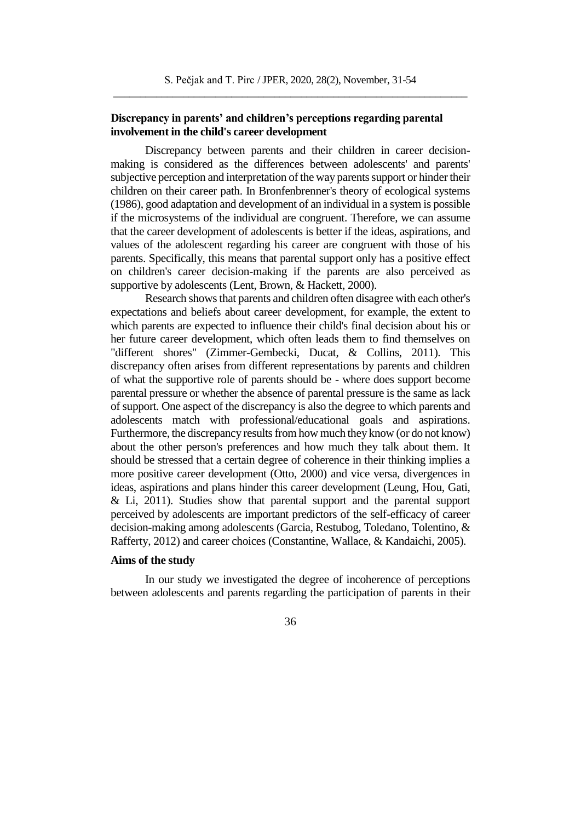# **Discrepancy in parents' and children's perceptions regarding parental involvement in the child's career development**

Discrepancy between parents and their children in career decisionmaking is considered as the differences between adolescents' and parents' subjective perception and interpretation of the way parents support or hinder their children on their career path. In Bronfenbrenner's theory of ecological systems (1986), good adaptation and development of an individual in a system is possible if the microsystems of the individual are congruent. Therefore, we can assume that the career development of adolescents is better if the ideas, aspirations, and values of the adolescent regarding his career are congruent with those of his parents. Specifically, this means that parental support only has a positive effect on children's career decision-making if the parents are also perceived as supportive by adolescents (Lent, Brown, & Hackett, 2000).

Research shows that parents and children often disagree with each other's expectations and beliefs about career development, for example, the extent to which parents are expected to influence their child's final decision about his or her future career development, which often leads them to find themselves on "different shores" (Zimmer-Gembecki, Ducat, & Collins, 2011). This discrepancy often arises from different representations by parents and children of what the supportive role of parents should be - where does support become parental pressure or whether the absence of parental pressure is the same as lack of support. One aspect of the discrepancy is also the degree to which parents and adolescents match with professional/educational goals and aspirations. Furthermore, the discrepancy results from how much they know (or do not know) about the other person's preferences and how much they talk about them. It should be stressed that a certain degree of coherence in their thinking implies a more positive career development (Otto, 2000) and vice versa, divergences in ideas, aspirations and plans hinder this career development (Leung, Hou, Gati, & Li, 2011). Studies show that parental support and the parental support perceived by adolescents are important predictors of the self-efficacy of career decision-making among adolescents (Garcia, Restubog, Toledano, Tolentino, & Rafferty, 2012) and career choices (Constantine, Wallace, & Kandaichi, 2005).

## **Aims of the study**

In our study we investigated the degree of incoherence of perceptions between adolescents and parents regarding the participation of parents in their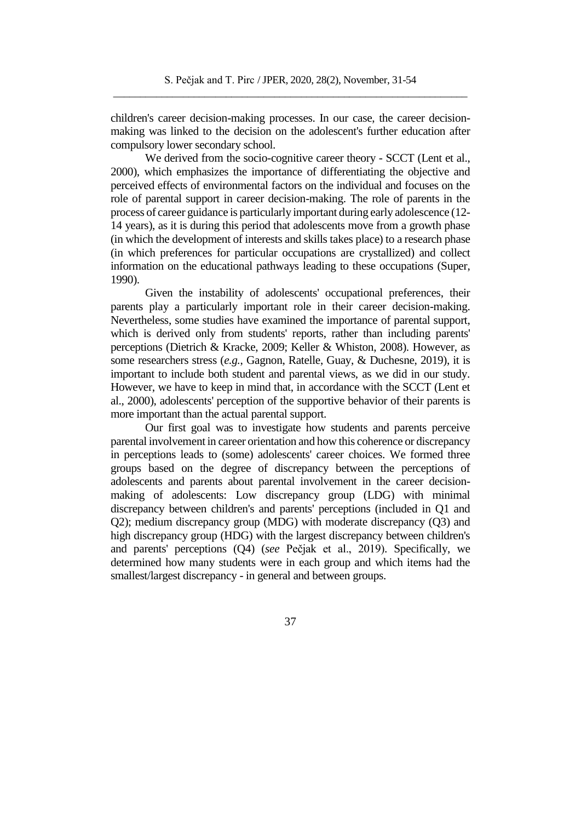children's career decision-making processes. In our case, the career decisionmaking was linked to the decision on the adolescent's further education after compulsory lower secondary school.

We derived from the socio-cognitive career theory - SCCT (Lent et al., 2000), which emphasizes the importance of differentiating the objective and perceived effects of environmental factors on the individual and focuses on the role of parental support in career decision-making. The role of parents in the process of career guidance is particularly important during early adolescence (12- 14 years), as it is during this period that adolescents move from a growth phase (in which the development of interests and skills takes place) to a research phase (in which preferences for particular occupations are crystallized) and collect information on the educational pathways leading to these occupations (Super, 1990).

Given the instability of adolescents' occupational preferences, their parents play a particularly important role in their career decision-making. Nevertheless, some studies have examined the importance of parental support, which is derived only from students' reports, rather than including parents' perceptions (Dietrich & Kracke, 2009; Keller & Whiston, 2008). However, as some researchers stress (*e.g.*, Gagnon, Ratelle, Guay, & Duchesne, 2019), it is important to include both student and parental views, as we did in our study. However, we have to keep in mind that, in accordance with the SCCT (Lent et al., 2000), adolescents' perception of the supportive behavior of their parents is more important than the actual parental support.

Our first goal was to investigate how students and parents perceive parental involvement in career orientation and how this coherence or discrepancy in perceptions leads to (some) adolescents' career choices. We formed three groups based on the degree of discrepancy between the perceptions of adolescents and parents about parental involvement in the career decisionmaking of adolescents: Low discrepancy group (LDG) with minimal discrepancy between children's and parents' perceptions (included in Q1 and Q2); medium discrepancy group (MDG) with moderate discrepancy (Q3) and high discrepancy group (HDG) with the largest discrepancy between children's and parents' perceptions (Q4) (*see* Pečjak et al., 2019). Specifically, we determined how many students were in each group and which items had the smallest/largest discrepancy - in general and between groups.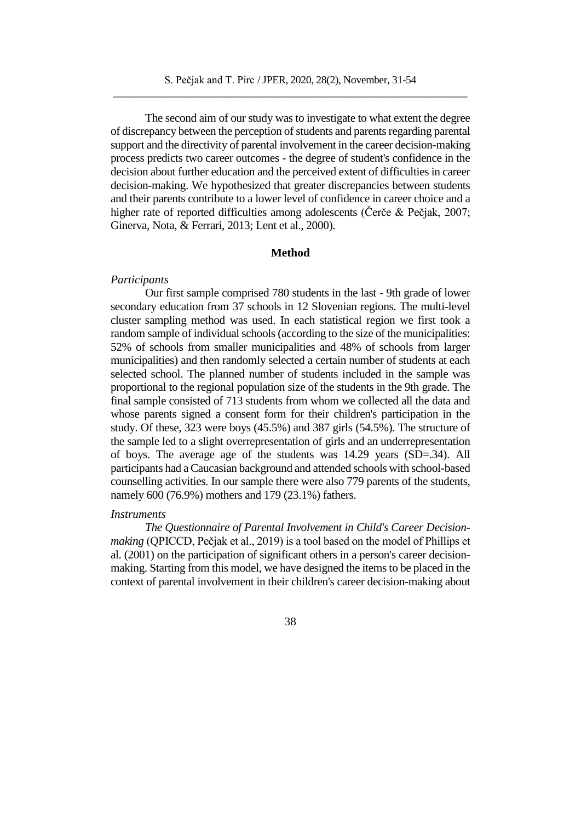The second aim of our study was to investigate to what extent the degree of discrepancy between the perception of students and parents regarding parental support and the directivity of parental involvement in the career decision-making process predicts two career outcomes - the degree of student's confidence in the decision about further education and the perceived extent of difficulties in career decision-making. We hypothesized that greater discrepancies between students and their parents contribute to a lower level of confidence in career choice and a higher rate of reported difficulties among adolescents (Čerče & Pečjak, 2007; Ginerva, Nota, & Ferrari, 2013; Lent et al., 2000).

### **Method**

#### *Participants*

Our first sample comprised 780 students in the last - 9th grade of lower secondary education from 37 schools in 12 Slovenian regions. The multi-level cluster sampling method was used. In each statistical region we first took a random sample of individual schools (according to the size of the municipalities: 52% of schools from smaller municipalities and 48% of schools from larger municipalities) and then randomly selected a certain number of students at each selected school. The planned number of students included in the sample was proportional to the regional population size of the students in the 9th grade. The final sample consisted of 713 students from whom we collected all the data and whose parents signed a consent form for their children's participation in the study. Of these, 323 were boys (45.5%) and 387 girls (54.5%). The structure of the sample led to a slight overrepresentation of girls and an underrepresentation of boys. The average age of the students was 14.29 years (SD=.34). All participants had a Caucasian background and attended schools with school-based counselling activities. In our sample there were also 779 parents of the students, namely 600 (76.9%) mothers and 179 (23.1%) fathers.

#### *Instruments*

*The Questionnaire of Parental Involvement in Child's Career Decisionmaking* (QPICCD, Pečjak et al., 2019) is a tool based on the model of Phillips et al. (2001) on the participation of significant others in a person's career decisionmaking. Starting from this model, we have designed the items to be placed in the context of parental involvement in their children's career decision-making about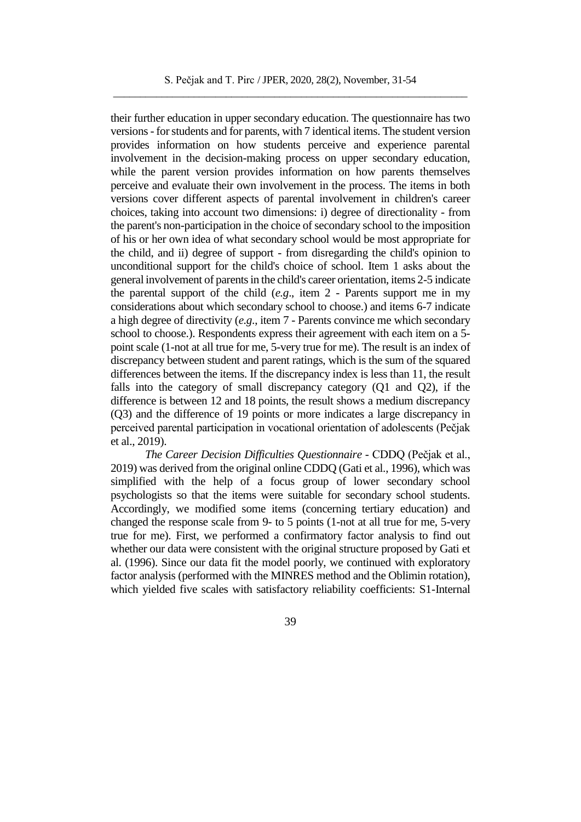their further education in upper secondary education. The questionnaire has two versions - for students and for parents, with 7 identical items. The student version provides information on how students perceive and experience parental involvement in the decision-making process on upper secondary education, while the parent version provides information on how parents themselves perceive and evaluate their own involvement in the process. The items in both versions cover different aspects of parental involvement in children's career choices, taking into account two dimensions: i) degree of directionality - from the parent's non-participation in the choice of secondary school to the imposition of his or her own idea of what secondary school would be most appropriate for the child, and ii) degree of support - from disregarding the child's opinion to unconditional support for the child's choice of school. Item 1 asks about the general involvement of parents in the child's career orientation, items 2-5 indicate the parental support of the child (*e.g*., item 2 - Parents support me in my considerations about which secondary school to choose.) and items 6-7 indicate a high degree of directivity (*e.g*., item 7 - Parents convince me which secondary school to choose.). Respondents express their agreement with each item on a 5 point scale (1-not at all true for me, 5-very true for me). The result is an index of discrepancy between student and parent ratings, which is the sum of the squared differences between the items. If the discrepancy index is less than 11, the result falls into the category of small discrepancy category (Q1 and Q2), if the difference is between 12 and 18 points, the result shows a medium discrepancy (Q3) and the difference of 19 points or more indicates a large discrepancy in perceived parental participation in vocational orientation of adolescents (Pečjak et al., 2019).

*The Career Decision Difficulties Questionnaire* - CDDQ (Pečjak et al., 2019) was derived from the original online CDDQ (Gati et al., 1996), which was simplified with the help of a focus group of lower secondary school psychologists so that the items were suitable for secondary school students. Accordingly, we modified some items (concerning tertiary education) and changed the response scale from 9- to 5 points (1-not at all true for me, 5-very true for me). First, we performed a confirmatory factor analysis to find out whether our data were consistent with the original structure proposed by Gati et al. (1996). Since our data fit the model poorly, we continued with exploratory factor analysis (performed with the MINRES method and the Oblimin rotation), which yielded five scales with satisfactory reliability coefficients: S1-Internal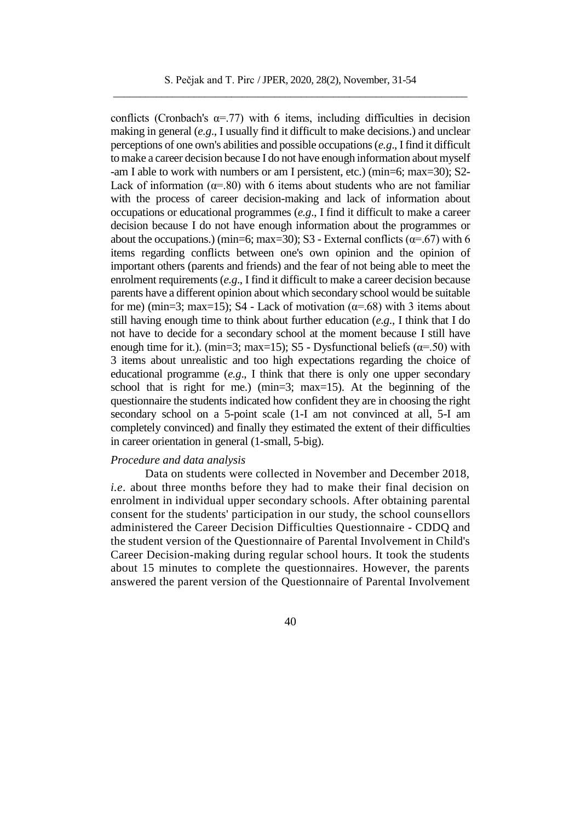conflicts (Cronbach's  $\alpha = .77$ ) with 6 items, including difficulties in decision making in general (*e.g*., I usually find it difficult to make decisions.) and unclear perceptions of one own's abilities and possible occupations (*e.g*., I find it difficult to make a career decision because I do not have enough information about myself -am I able to work with numbers or am I persistent, etc.) (min=6; max=30); S2- Lack of information ( $\alpha$ =.80) with 6 items about students who are not familiar with the process of career decision-making and lack of information about occupations or educational programmes (*e.g*., I find it difficult to make a career decision because I do not have enough information about the programmes or about the occupations.) (min=6; max=30); S3 - External conflicts ( $\alpha$ =.67) with 6 items regarding conflicts between one's own opinion and the opinion of important others (parents and friends) and the fear of not being able to meet the enrolment requirements (*e.g*., I find it difficult to make a career decision because parents have a different opinion about which secondary school would be suitable for me) (min=3; max=15); S4 - Lack of motivation ( $\alpha$ =.68) with 3 items about still having enough time to think about further education (*e.g*., I think that I do not have to decide for a secondary school at the moment because I still have enough time for it.). (min=3; max=15); S5 - Dysfunctional beliefs ( $\alpha$ =.50) with 3 items about unrealistic and too high expectations regarding the choice of educational programme (*e.g*., I think that there is only one upper secondary school that is right for me.) (min=3; max=15). At the beginning of the questionnaire the students indicated how confident they are in choosing the right secondary school on a 5-point scale (1-I am not convinced at all, 5-I am completely convinced) and finally they estimated the extent of their difficulties in career orientation in general (1-small, 5-big).

## *Procedure and data analysis*

Data on students were collected in November and December 2018, *i.e*. about three months before they had to make their final decision on enrolment in individual upper secondary schools. After obtaining parental consent for the students' participation in our study, the school counsellors administered the Career Decision Difficulties Questionnaire - CDDQ and the student version of the Questionnaire of Parental Involvement in Child's Career Decision-making during regular school hours. It took the students about 15 minutes to complete the questionnaires. However, the parents answered the parent version of the Questionnaire of Parental Involvement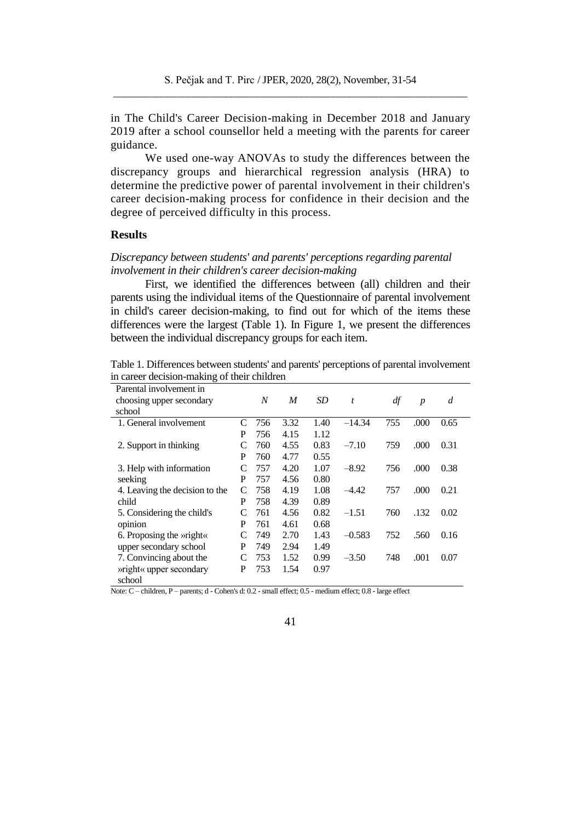in The Child's Career Decision-making in December 2018 and January 2019 after a school counsellor held a meeting with the parents for career guidance.

We used one-way ANOVAs to study the differences between the discrepancy groups and hierarchical regression analysis (HRA) to determine the predictive power of parental involvement in their children's career decision-making process for confidence in their decision and the degree of perceived difficulty in this process.

## **Results**

# *Discrepancy between students' and parents' perceptions regarding parental involvement in their children's career decision-making*

First, we identified the differences between (all) children and their parents using the individual items of the Questionnaire of parental involvement in child's career decision-making, to find out for which of the items these differences were the largest (Table 1). In Figure 1, we present the differences between the individual discrepancy groups for each item.

Table 1. Differences between students' and parents' perceptions of parental involvement in career decision-making of their children

| Parental involvement in        |   |     |      |                 |          |     |                  |      |
|--------------------------------|---|-----|------|-----------------|----------|-----|------------------|------|
| choosing upper secondary       |   | N   | M    | SD <sub>1</sub> | t        | df  | $\boldsymbol{p}$ | d    |
| school                         |   |     |      |                 |          |     |                  |      |
| 1. General involvement         | C | 756 | 3.32 | 1.40            | $-14.34$ | 755 | .000             | 0.65 |
|                                | P | 756 | 4.15 | 1.12            |          |     |                  |      |
| 2. Support in thinking         | C | 760 | 4.55 | 0.83            | $-7.10$  | 759 | .000             | 0.31 |
|                                | P | 760 | 4.77 | 0.55            |          |     |                  |      |
| 3. Help with information       | C | 757 | 4.20 | 1.07            | $-8.92$  | 756 | .000             | 0.38 |
| seeking                        | P | 757 | 4.56 | 0.80            |          |     |                  |      |
| 4. Leaving the decision to the | C | 758 | 4.19 | 1.08            | $-4.42$  | 757 | .000             | 0.21 |
| child                          | P | 758 | 4.39 | 0.89            |          |     |                  |      |
| 5. Considering the child's     | C | 761 | 4.56 | 0.82            | $-1.51$  | 760 | .132             | 0.02 |
| opinion                        | P | 761 | 4.61 | 0.68            |          |     |                  |      |
| 6. Proposing the <i>wright</i> | C | 749 | 2.70 | 1.43            | $-0.583$ | 752 | .560             | 0.16 |
| upper secondary school         | P | 749 | 2.94 | 1.49            |          |     |                  |      |
| 7. Convincing about the        | C | 753 | 1.52 | 0.99            | $-3.50$  | 748 | .001             | 0.07 |
| » right« upper secondary       | P | 753 | 1.54 | 0.97            |          |     |                  |      |
| school                         |   |     |      |                 |          |     |                  |      |

Note: C – children, P – parents; d - Cohen's d: 0.2 - small effect; 0.5 - medium effect; 0.8 - large effect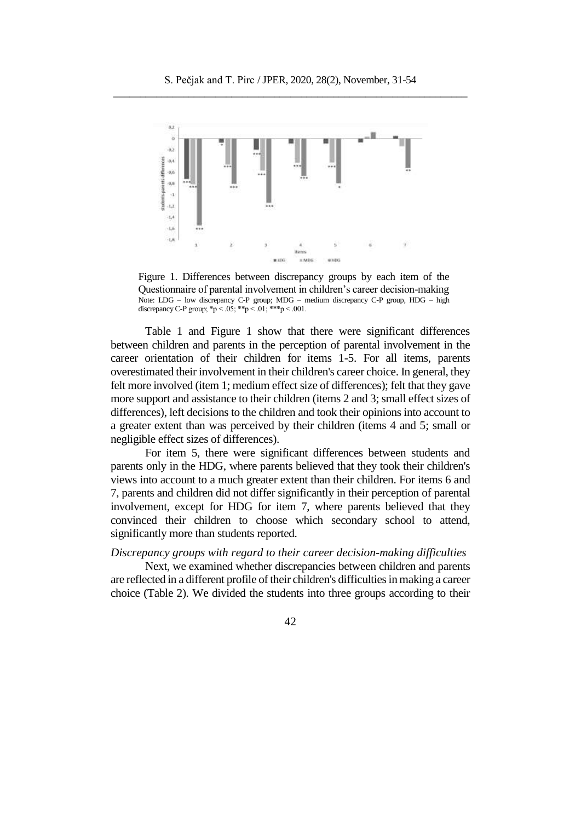

Figure 1. Differences between discrepancy groups by each item of the Questionnaire of parental involvement in children's career decision-making Note: LDG – low discrepancy C-P group; MDG – medium discrepancy C-P group, HDG – high discrepancy C-P group;  $\sp{*}p < .05$ ;  $\sp{*} \sp{*}p < .01$ ;  $\sp{*} \sp{*} \sp{*}p < .001$ .

Table 1 and Figure 1 show that there were significant differences between children and parents in the perception of parental involvement in the career orientation of their children for items 1-5. For all items, parents overestimated their involvement in their children's career choice. In general, they felt more involved (item 1; medium effect size of differences); felt that they gave more support and assistance to their children (items 2 and 3; small effect sizes of differences), left decisions to the children and took their opinions into account to a greater extent than was perceived by their children (items 4 and 5; small or negligible effect sizes of differences).

For item 5, there were significant differences between students and parents only in the HDG, where parents believed that they took their children's views into account to a much greater extent than their children. For items 6 and 7, parents and children did not differ significantly in their perception of parental involvement, except for HDG for item 7, where parents believed that they convinced their children to choose which secondary school to attend, significantly more than students reported.

### *Discrepancy groups with regard to their career decision-making difficulties*

Next, we examined whether discrepancies between children and parents are reflected in a different profile of their children's difficulties in making a career choice (Table 2). We divided the students into three groups according to their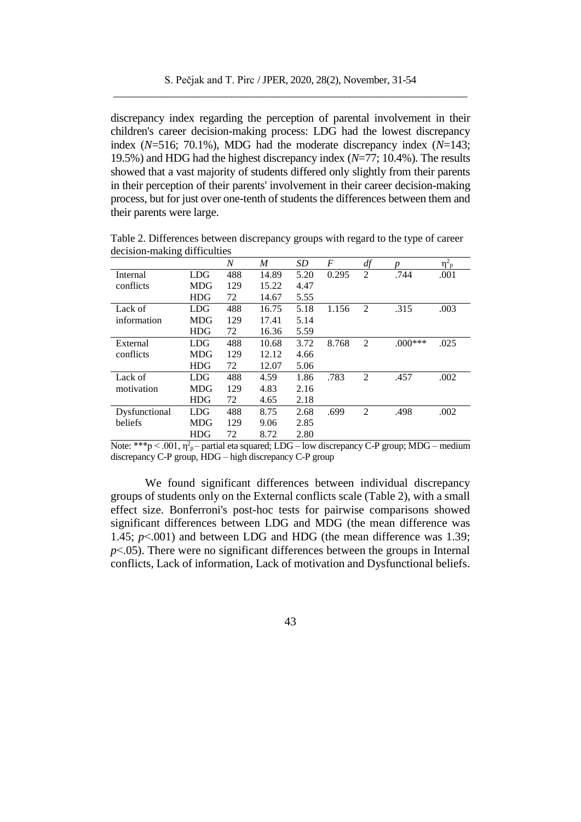discrepancy index regarding the perception of parental involvement in their children's career decision-making process: LDG had the lowest discrepancy index (*N*=516; 70.1%), MDG had the moderate discrepancy index (*N*=143; 19.5%) and HDG had the highest discrepancy index (*N*=77; 10.4%). The results showed that a vast majority of students differed only slightly from their parents in their perception of their parents' involvement in their career decision-making process, but for just over one-tenth of students the differences between them and their parents were large.

|               |            | $\boldsymbol{N}$ | M     | SD   | F     | df             | n         | $\eta^2$ <sub>p</sub> |
|---------------|------------|------------------|-------|------|-------|----------------|-----------|-----------------------|
| Internal      | <b>LDG</b> | 488              | 14.89 | 5.20 | 0.295 | 2              | .744      | .001                  |
| conflicts     | <b>MDG</b> | 129              | 15.22 | 4.47 |       |                |           |                       |
|               | <b>HDG</b> | 72               | 14.67 | 5.55 |       |                |           |                       |
| Lack of       | <b>LDG</b> | 488              | 16.75 | 5.18 | 1.156 | $\overline{2}$ | .315      | .003                  |
| information   | MDG        | 129              | 17.41 | 5.14 |       |                |           |                       |
|               | <b>HDG</b> | 72               | 16.36 | 5.59 |       |                |           |                       |
| External      | LDG        | 488              | 10.68 | 3.72 | 8.768 | $\overline{2}$ | $.000***$ | .025                  |
| conflicts     | MDG        | 129              | 12.12 | 4.66 |       |                |           |                       |
|               | <b>HDG</b> | 72               | 12.07 | 5.06 |       |                |           |                       |
| Lack of       | <b>LDG</b> | 488              | 4.59  | 1.86 | .783  | $\overline{2}$ | .457      | .002                  |
| motivation    | <b>MDG</b> | 129              | 4.83  | 2.16 |       |                |           |                       |
|               | <b>HDG</b> | 72               | 4.65  | 2.18 |       |                |           |                       |
| Dysfunctional | LDG        | 488              | 8.75  | 2.68 | .699  | 2              | .498      | .002                  |
| beliefs       | <b>MDG</b> | 129              | 9.06  | 2.85 |       |                |           |                       |
|               | <b>HDG</b> | 72               | 8.72  | 2.80 |       |                |           |                       |

Table 2. Differences between discrepancy groups with regard to the type of career decision-making difficulties

Note: \*\*\*p  $\leq 0.001$ ,  $\eta_{p}^2$  – partial eta squared; LDG – low discrepancy C-P group; MDG – medium discrepancy C-P group, HDG – high discrepancy C-P group

We found significant differences between individual discrepancy groups of students only on the External conflicts scale (Table 2), with a small effect size. Bonferroni's post-hoc tests for pairwise comparisons showed significant differences between LDG and MDG (the mean difference was 1.45; *p*˂.001) and between LDG and HDG (the mean difference was 1.39;  $p<.05$ ). There were no significant differences between the groups in Internal conflicts, Lack of information, Lack of motivation and Dysfunctional beliefs.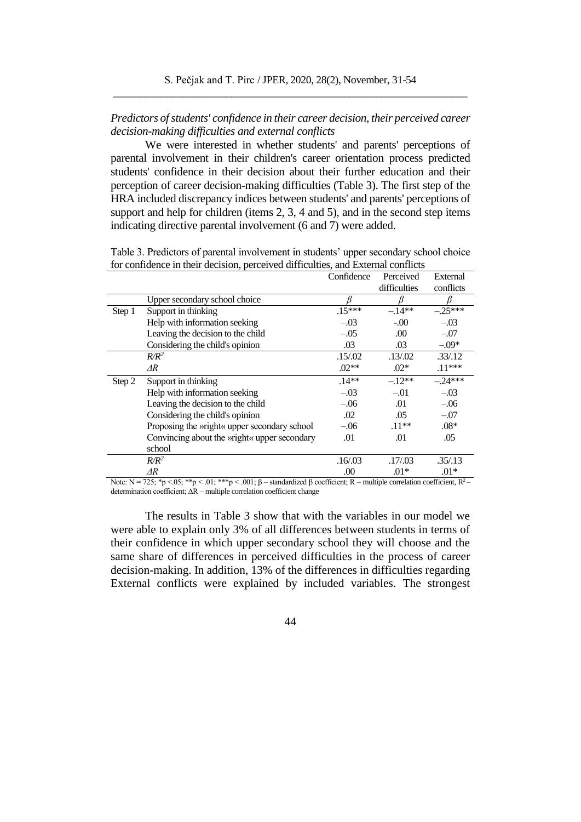# *Predictors of students' confidence in their career decision, their perceived career decision-making difficulties and external conflicts*

We were interested in whether students' and parents' perceptions of parental involvement in their children's career orientation process predicted students' confidence in their decision about their further education and their perception of career decision-making difficulties (Table 3). The first step of the HRA included discrepancy indices between students' and parents' perceptions of support and help for children (items 2, 3, 4 and 5), and in the second step items indicating directive parental involvement (6 and 7) were added.

| Table 3. Predictors of parental involvement in students' upper secondary school choice |                               |  |
|----------------------------------------------------------------------------------------|-------------------------------|--|
| for confidence in their decision, perceived difficulties, and External conflicts       |                               |  |
|                                                                                        | Confidence Perceived External |  |

|        |                                                      | Communico | 1 U.UU VU    | елена     |
|--------|------------------------------------------------------|-----------|--------------|-----------|
|        |                                                      |           | difficulties | conflicts |
|        | Upper secondary school choice                        |           |              | B         |
| Step 1 | Support in thinking                                  | $.15***$  | $-14**$      | $-.25***$ |
|        | Help with information seeking                        | $-.03$    | $-.00$       | $-.03$    |
|        | Leaving the decision to the child                    | $-.05$    | .00          | $-.07$    |
|        | Considering the child's opinion                      | .03       | .03          | $-0.09*$  |
|        | $\mathbb{R}^2$                                       | .15/02    | .13/.02      | .33/.12   |
|        | $\Delta R$                                           | $.02**$   | $.02*$       | $.11***$  |
| Step 2 | Support in thinking                                  | $.14**$   | $-12**$      | $-24***$  |
|        | Help with information seeking                        | $-.03$    | $-.01$       | $-.03$    |
|        | Leaving the decision to the child                    | $-.06$    | .01          | $-.06$    |
|        | Considering the child's opinion                      | .02       | .05          | $-.07$    |
|        | Proposing the <i>wright</i> « upper secondary school | $-.06$    | $.11**$      | $.08*$    |
|        | Convincing about the <i>wright</i> « upper secondary | .01       | .01          | .05       |
|        | school                                               |           |              |           |
|        | $R/R^2$                                              | .16/03    | .17/.03      | .35/.13   |
|        | $\Delta R$                                           | .00       | $.01*$       | $.01*$    |

Note:  $N = 725$ ; \*p  $\lt 0.05$ ; \*\*p  $\lt 0.01$ ; \*\*\*p  $\lt 0.001$ ;  $\beta$  – standardized  $\beta$  coefficient; R – multiple correlation coefficient, R<sup>2</sup>– determination coefficient;  $\Delta R$  – multiple correlation coefficient change

The results in Table 3 show that with the variables in our model we were able to explain only 3% of all differences between students in terms of their confidence in which upper secondary school they will choose and the same share of differences in perceived difficulties in the process of career decision-making. In addition, 13% of the differences in difficulties regarding External conflicts were explained by included variables. The strongest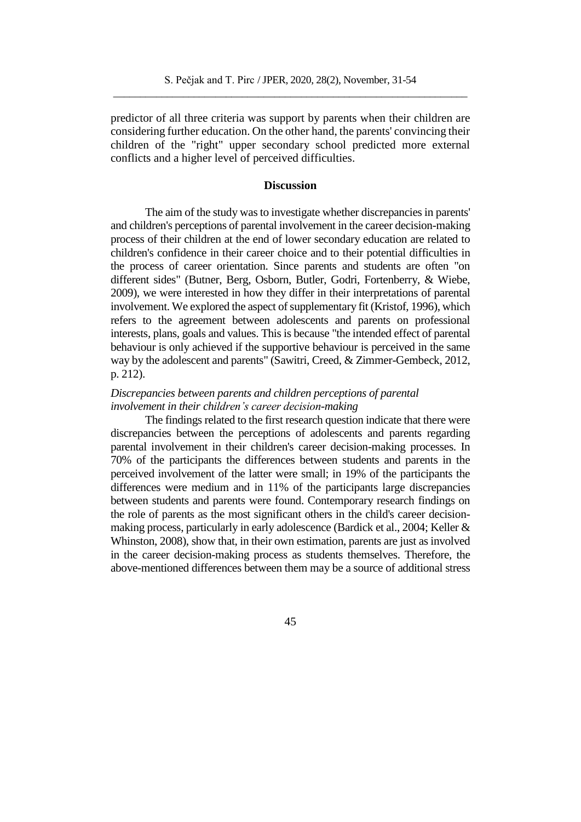predictor of all three criteria was support by parents when their children are considering further education. On the other hand, the parents' convincing their children of the "right" upper secondary school predicted more external conflicts and a higher level of perceived difficulties.

## **Discussion**

The aim of the study was to investigate whether discrepancies in parents' and children's perceptions of parental involvement in the career decision-making process of their children at the end of lower secondary education are related to children's confidence in their career choice and to their potential difficulties in the process of career orientation. Since parents and students are often "on different sides" (Butner, Berg, Osborn, Butler, Godri, Fortenberry, & Wiebe, 2009), we were interested in how they differ in their interpretations of parental involvement. We explored the aspect of supplementary fit (Kristof, 1996), which refers to the agreement between adolescents and parents on professional interests, plans, goals and values. This is because "the intended effect of parental behaviour is only achieved if the supportive behaviour is perceived in the same way by the adolescent and parents" (Sawitri, Creed, & Zimmer-Gembeck, 2012, p. 212).

# *Discrepancies between parents and children perceptions of parental involvement in their children's career decision-making*

The findings related to the first research question indicate that there were discrepancies between the perceptions of adolescents and parents regarding parental involvement in their children's career decision-making processes. In 70% of the participants the differences between students and parents in the perceived involvement of the latter were small; in 19% of the participants the differences were medium and in 11% of the participants large discrepancies between students and parents were found. Contemporary research findings on the role of parents as the most significant others in the child's career decisionmaking process, particularly in early adolescence (Bardick et al., 2004; Keller & Whinston, 2008), show that, in their own estimation, parents are just as involved in the career decision-making process as students themselves. Therefore, the above-mentioned differences between them may be a source of additional stress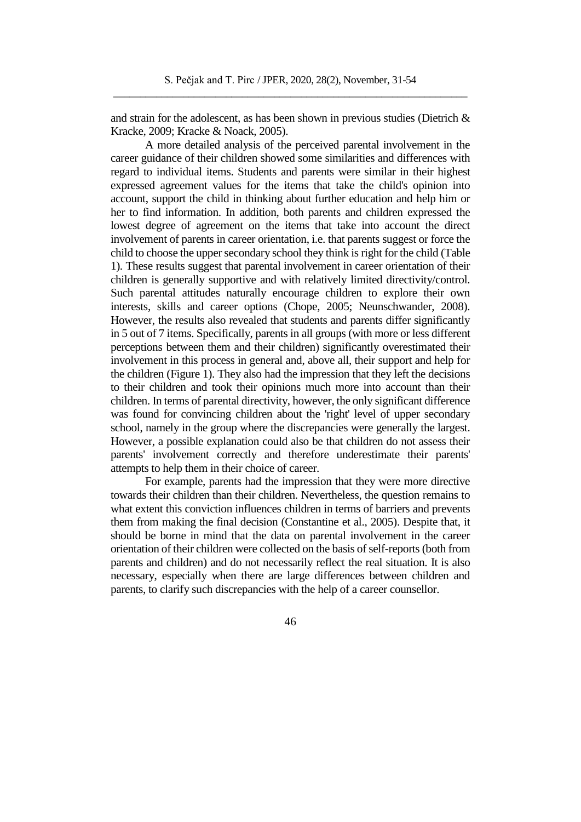and strain for the adolescent, as has been shown in previous studies (Dietrich  $\&$ Kracke, 2009; Kracke & Noack, 2005).

A more detailed analysis of the perceived parental involvement in the career guidance of their children showed some similarities and differences with regard to individual items. Students and parents were similar in their highest expressed agreement values for the items that take the child's opinion into account, support the child in thinking about further education and help him or her to find information. In addition, both parents and children expressed the lowest degree of agreement on the items that take into account the direct involvement of parents in career orientation, i.e. that parents suggest or force the child to choose the upper secondary school they think is right for the child (Table 1). These results suggest that parental involvement in career orientation of their children is generally supportive and with relatively limited directivity/control. Such parental attitudes naturally encourage children to explore their own interests, skills and career options (Chope, 2005; Neunschwander, 2008). However, the results also revealed that students and parents differ significantly in 5 out of 7 items. Specifically, parents in all groups (with more or less different perceptions between them and their children) significantly overestimated their involvement in this process in general and, above all, their support and help for the children (Figure 1). They also had the impression that they left the decisions to their children and took their opinions much more into account than their children. In terms of parental directivity, however, the only significant difference was found for convincing children about the 'right' level of upper secondary school, namely in the group where the discrepancies were generally the largest. However, a possible explanation could also be that children do not assess their parents' involvement correctly and therefore underestimate their parents' attempts to help them in their choice of career.

For example, parents had the impression that they were more directive towards their children than their children. Nevertheless, the question remains to what extent this conviction influences children in terms of barriers and prevents them from making the final decision (Constantine et al., 2005). Despite that, it should be borne in mind that the data on parental involvement in the career orientation of their children were collected on the basis of self-reports (both from parents and children) and do not necessarily reflect the real situation. It is also necessary, especially when there are large differences between children and parents, to clarify such discrepancies with the help of a career counsellor.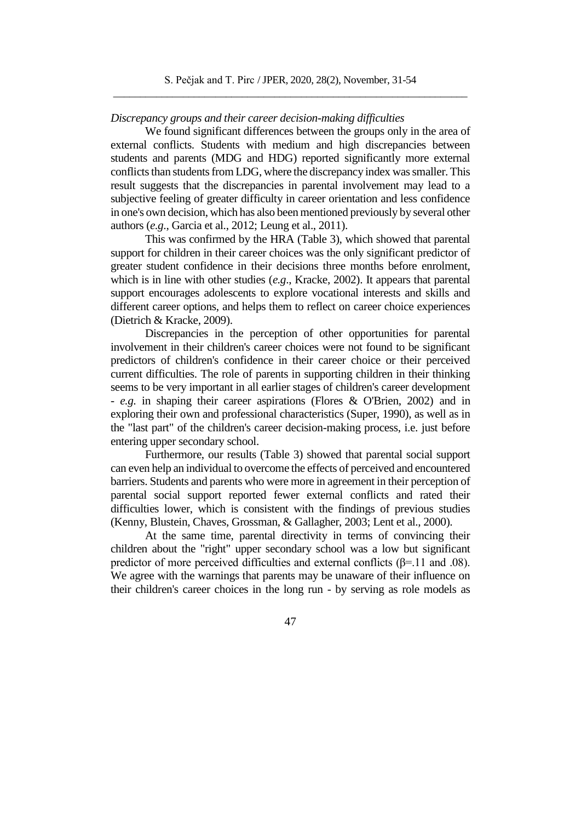## *Discrepancy groups and their career decision-making difficulties*

We found significant differences between the groups only in the area of external conflicts. Students with medium and high discrepancies between students and parents (MDG and HDG) reported significantly more external conflicts than students from LDG, where the discrepancy index was smaller. This result suggests that the discrepancies in parental involvement may lead to a subjective feeling of greater difficulty in career orientation and less confidence in one's own decision, which has also been mentioned previously by several other authors (*e.g*., Garcia et al., 2012; Leung et al., 2011).

This was confirmed by the HRA (Table 3), which showed that parental support for children in their career choices was the only significant predictor of greater student confidence in their decisions three months before enrolment, which is in line with other studies (*e.g*., Kracke, 2002). It appears that parental support encourages adolescents to explore vocational interests and skills and different career options, and helps them to reflect on career choice experiences (Dietrich & Kracke, 2009).

Discrepancies in the perception of other opportunities for parental involvement in their children's career choices were not found to be significant predictors of children's confidence in their career choice or their perceived current difficulties. The role of parents in supporting children in their thinking seems to be very important in all earlier stages of children's career development - *e.g.* in shaping their career aspirations (Flores & O'Brien, 2002) and in exploring their own and professional characteristics (Super, 1990), as well as in the "last part" of the children's career decision-making process, i.e. just before entering upper secondary school.

Furthermore, our results (Table 3) showed that parental social support can even help an individual to overcome the effects of perceived and encountered barriers. Students and parents who were more in agreement in their perception of parental social support reported fewer external conflicts and rated their difficulties lower, which is consistent with the findings of previous studies (Kenny, Blustein, Chaves, Grossman, & Gallagher, 2003; Lent et al., 2000).

At the same time, parental directivity in terms of convincing their children about the "right" upper secondary school was a low but significant predictor of more perceived difficulties and external conflicts ( $\beta$ =.11 and .08). We agree with the warnings that parents may be unaware of their influence on their children's career choices in the long run - by serving as role models as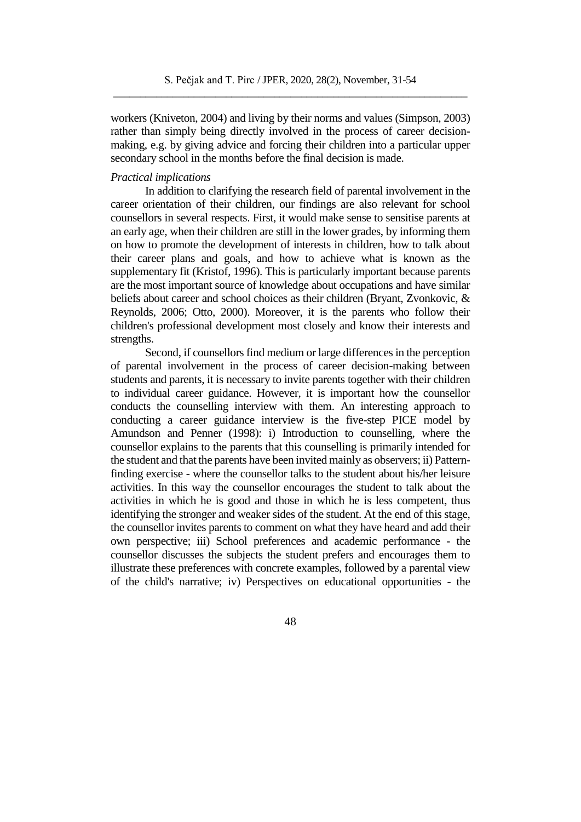workers (Kniveton, 2004) and living by their norms and values (Simpson, 2003) rather than simply being directly involved in the process of career decisionmaking, e.g. by giving advice and forcing their children into a particular upper secondary school in the months before the final decision is made.

## *Practical implications*

In addition to clarifying the research field of parental involvement in the career orientation of their children, our findings are also relevant for school counsellors in several respects. First, it would make sense to sensitise parents at an early age, when their children are still in the lower grades, by informing them on how to promote the development of interests in children, how to talk about their career plans and goals, and how to achieve what is known as the supplementary fit (Kristof, 1996). This is particularly important because parents are the most important source of knowledge about occupations and have similar beliefs about career and school choices as their children (Bryant, Zvonkovic, & Reynolds, 2006; Otto, 2000). Moreover, it is the parents who follow their children's professional development most closely and know their interests and strengths.

Second, if counsellors find medium or large differences in the perception of parental involvement in the process of career decision-making between students and parents, it is necessary to invite parents together with their children to individual career guidance. However, it is important how the counsellor conducts the counselling interview with them. An interesting approach to conducting a career guidance interview is the five-step PICE model by Amundson and Penner (1998): i) Introduction to counselling, where the counsellor explains to the parents that this counselling is primarily intended for the student and that the parents have been invited mainly as observers; ii) Patternfinding exercise - where the counsellor talks to the student about his/her leisure activities. In this way the counsellor encourages the student to talk about the activities in which he is good and those in which he is less competent, thus identifying the stronger and weaker sides of the student. At the end of this stage, the counsellor invites parents to comment on what they have heard and add their own perspective; iii) School preferences and academic performance - the counsellor discusses the subjects the student prefers and encourages them to illustrate these preferences with concrete examples, followed by a parental view of the child's narrative; iv) Perspectives on educational opportunities - the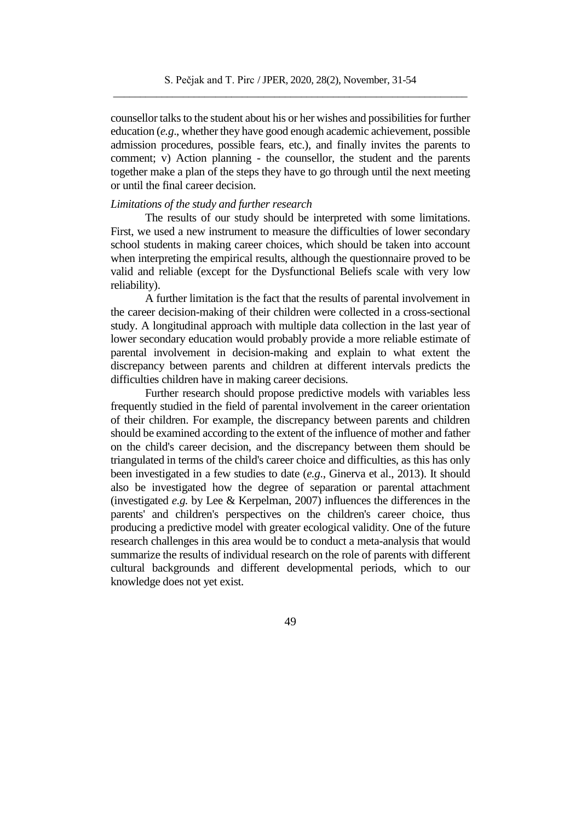counsellor talks to the student about his or her wishes and possibilities for further education (*e.g*., whether they have good enough academic achievement, possible admission procedures, possible fears, etc.), and finally invites the parents to comment; v) Action planning - the counsellor, the student and the parents together make a plan of the steps they have to go through until the next meeting or until the final career decision.

## *Limitations of the study and further research*

The results of our study should be interpreted with some limitations. First, we used a new instrument to measure the difficulties of lower secondary school students in making career choices, which should be taken into account when interpreting the empirical results, although the questionnaire proved to be valid and reliable (except for the Dysfunctional Beliefs scale with very low reliability).

A further limitation is the fact that the results of parental involvement in the career decision-making of their children were collected in a cross-sectional study. A longitudinal approach with multiple data collection in the last year of lower secondary education would probably provide a more reliable estimate of parental involvement in decision-making and explain to what extent the discrepancy between parents and children at different intervals predicts the difficulties children have in making career decisions.

Further research should propose predictive models with variables less frequently studied in the field of parental involvement in the career orientation of their children. For example, the discrepancy between parents and children should be examined according to the extent of the influence of mother and father on the child's career decision, and the discrepancy between them should be triangulated in terms of the child's career choice and difficulties, as this has only been investigated in a few studies to date (*e.g*., Ginerva et al., 2013). It should also be investigated how the degree of separation or parental attachment (investigated *e.g.* by Lee & Kerpelman, 2007) influences the differences in the parents' and children's perspectives on the children's career choice, thus producing a predictive model with greater ecological validity. One of the future research challenges in this area would be to conduct a meta-analysis that would summarize the results of individual research on the role of parents with different cultural backgrounds and different developmental periods, which to our knowledge does not yet exist.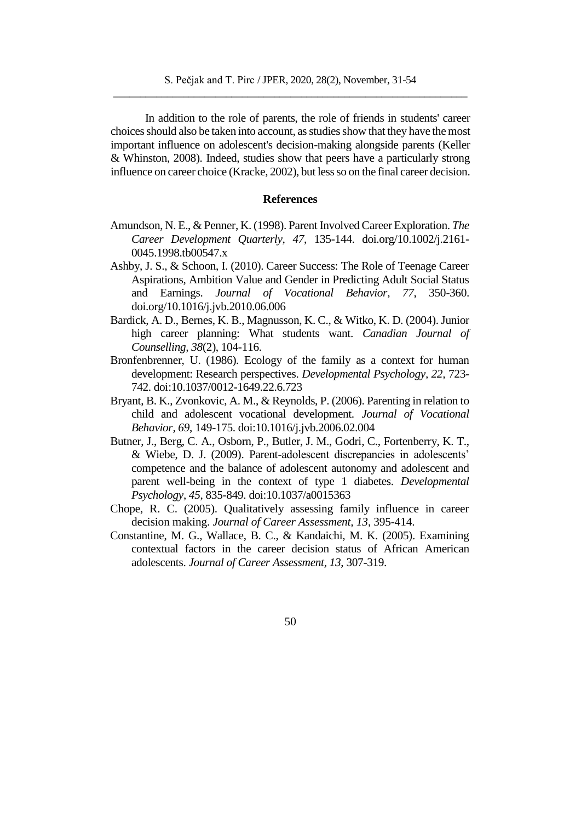In addition to the role of parents, the role of friends in students' career choices should also be taken into account, as studies show that they have the most important influence on adolescent's decision-making alongside parents (Keller & Whinston, 2008). Indeed, studies show that peers have a particularly strong influence on career choice (Kracke, 2002), but less so on the final career decision.

## **References**

- Amundson, N. E., & Penner, K. (1998). Parent Involved Career Exploration. *The Career Development Quarterly, 47*, 135-144. doi.org/10.1002/j.2161- 0045.1998.tb00547.x
- Ashby, J. S., & Schoon, I. (2010). Career Success: The Role of Teenage Career Aspirations, Ambition Value and Gender in Predicting Adult Social Status and Earnings. *Journal of Vocational Behavior, 77*, 350-360. [doi.org/10.1016/j.jvb.2010.06.006](https://doi.org/10.1016/j.jvb.2010.06.006)
- Bardick, A. D., Bernes, K. B., Magnusson, K. C., & Witko, K. D. (2004). Junior high career planning: What students want. *Canadian Journal of Counselling, 38*(2), 104-116.
- Bronfenbrenner, U. (1986). Ecology of the family as a context for human development: Research perspectives. *Developmental Psychology, 22,* 723- 742. doi:10.1037/0012-1649.22.6.723
- Bryant, B. K., Zvonkovic, A. M., & Reynolds, P. (2006). Parenting in relation to child and adolescent vocational development. *Journal of Vocational Behavior, 69*, 149-175. doi:10.1016/j.jvb.2006.02.004
- Butner, J., Berg, C. A., Osborn, P., Butler, J. M., Godri, C., Fortenberry, K. T., & Wiebe, D. J. (2009). Parent-adolescent discrepancies in adolescents' competence and the balance of adolescent autonomy and adolescent and parent well-being in the context of type 1 diabetes. *Developmental Psychology*, *45*, 835-849. doi:10.1037/a0015363
- Chope, R. C. (2005). Qualitatively assessing family influence in career decision making. *Journal of Career Assessment, 13*, 395-414.
- Constantine, M. G., Wallace, B. C., & Kandaichi, M. K. (2005). Examining contextual factors in the career decision status of African American adolescents. *Journal of Career Assessment, 13*, 307-319.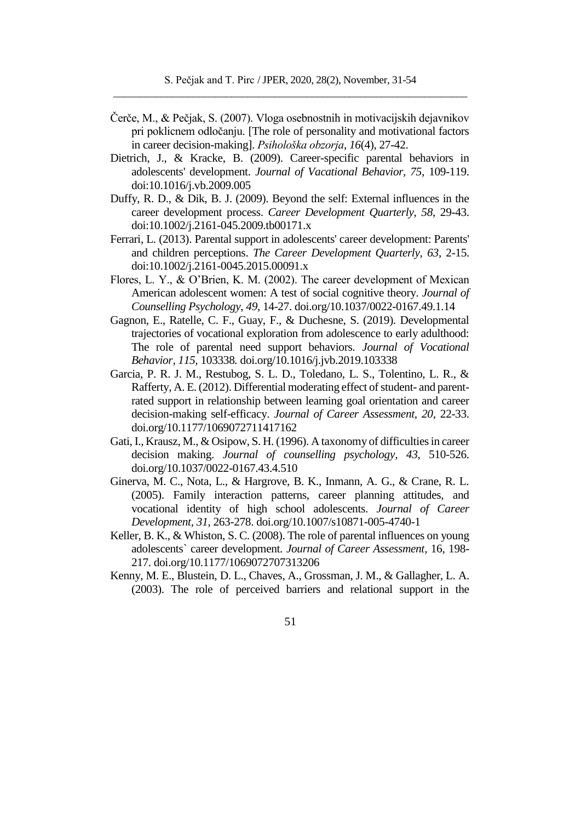- Čerče, M., & Pečjak, S. (2007). Vloga osebnostnih in motivacijskih dejavnikov pri poklicnem odločanju. [The role of personality and motivational factors in career decision-making]. *Psihološka obzorja*, *16*(4), 27-42.
- Dietrich, J., & Kracke, B. (2009). Career-specific parental behaviors in adolescents' development. *Journal of Vacational Behavior, 75,* 109-119. doi:10.1016/j.vb.2009.005
- Duffy, R. D., & Dik, B. J. (2009). Beyond the self: External influences in the career development process. *Career Development Quarterly, 58*, 29-43. doi:10.1002/j.2161-045.2009.tb00171.x
- Ferrari, L. (2013). Parental support in adolescents' career development: Parents' and children perceptions. *The Career Development Quarterly, 63*, 2-15. doi:10.1002/j.2161-0045.2015.00091.x
- Flores, L. Y., & O'Brien, K. M. (2002). The career development of Mexican American adolescent women: A test of social cognitive theory. *Journal of Counselling Psychology*, *49*, 14-27. [doi.org/10.1037/0022-0167.49.1.14](https://doi.org/10.1037/0022-0167.49.1.14)
- Gagnon, E., Ratelle, C. F., Guay, F., & Duchesne, S. (2019). Developmental trajectories of vocational exploration from adolescence to early adulthood: The role of parental need support behaviors. *Journal of Vocational Behavior, 115,* 103338*.* doi.org/10.1016/j.jvb.2019.103338
- Garcia, P. R. J. M., Restubog, S. L. D., Toledano, L. S., Tolentino, L. R., & Rafferty, A. E. (2012). Differential moderating effect of student- and parentrated support in relationship between learning goal orientation and career decision-making self-efficacy. *Journal of Career Assessment, 20*, 22-33. doi.org/10.1177/1069072711417162
- Gati, I., Krausz, M., & Osipow, S. H. (1996). A taxonomy of difficulties in career decision making. *Journal of counselling psychology, 43*, 510-526. doi.org/10.1037/0022-0167.43.4.510
- Ginerva, M. C., Nota, L., & Hargrove, B. K., Inmann, A. G., & Crane, R. L. (2005). Family interaction patterns, career planning attitudes, and vocational identity of high school adolescents. *Journal of Career Development, 31*, 263-278. doi.org/10.1007/s10871-005-4740-1
- Keller, B. K., & Whiston, S. C. (2008). The role of parental influences on young adolescents` career development. *Journal of Career Assessment,* 16, 198- 217[. doi.org/10.1177/1069072707313206](https://doi.org/10.1177/1069072707313206)
- Kenny, M. E., Blustein, D. L., Chaves, A., Grossman, J. M., & Gallagher, L. A. (2003). The role of perceived barriers and relational support in the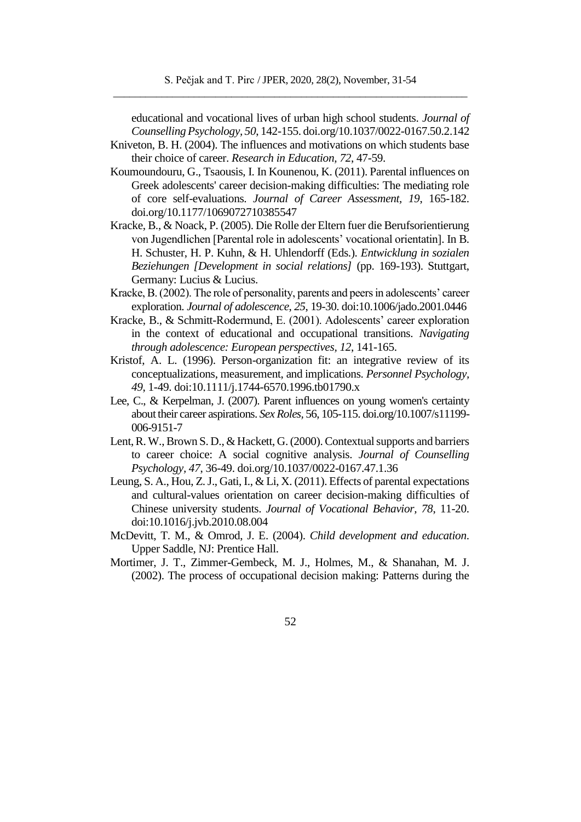educational and vocational lives of urban high school students. *Journal of Counselling Psychology, 50*, 142-155. doi.org/10.1037/0022-0167.50.2.142

Kniveton, B. H. (2004). The influences and motivations on which students base their choice of career. *Research in Education, 72*, 47-59.

- Koumoundouru, G., Tsaousis, I. In Kounenou, K. (2011). Parental influences on Greek adolescents' career decision-making difficulties: The mediating role of core self-evaluations. *Journal of Career Assessment, 19*, 165-182. [doi.org/10.1177/1069072710385547](https://doi.org/10.1177/1069072710385547)
- Kracke, B., & Noack, P. (2005). Die Rolle der Eltern fuer die Berufsorientierung von Jugendlichen [Parental role in adolescents' vocational orientatin]. In B. H. Schuster, H. P. Kuhn, & H. Uhlendorff (Eds.). *Entwicklung in sozialen Beziehungen [Development in social relations]* (pp. 169-193). Stuttgart, Germany: Lucius & Lucius.
- Kracke, B. (2002). The role of personality, parents and peers in adolescents' career exploration. *Journal of adolescence*, *25*, 19-30. doi:10.1006/jado.2001.0446
- Kracke, B., & Schmitt-Rodermund, E. (2001). Adolescents' career exploration in the context of educational and occupational transitions. *Navigating through adolescence: European perspectives, 12*, 141-165.
- Kristof, A. L. (1996). Person-organization fit: an integrative review of its conceptualizations, measurement, and implications. *Personnel Psychology, 49*, 1-49. doi:10.1111/j.1744-6570.1996.tb01790.x
- Lee, C., & Kerpelman, J. (2007). Parent influences on young women's certainty about their career aspirations. *Sex Roles,* 56, 105-115[. doi.org/10.1007/s11199-](https://doi.org/10.1007/s11199-006-9151-7) [006-9151-7](https://doi.org/10.1007/s11199-006-9151-7)
- Lent, R. W., Brown S. D., & Hackett, G. (2000). Contextual supports and barriers to career choice: A social cognitive analysis. *Journal of Counselling Psychology, 47*, 36-49. [doi.org/10.1037/0022-0167.47.1.36](https://doi.org/10.1037/0022-0167.47.1.36)
- Leung, S. A., Hou, Z. J., Gati, I., & Li, X. (2011). Effects of parental expectations and cultural-values orientation on career decision-making difficulties of Chinese university students. *Journal of Vocational Behavior, 78*, 11-20. [doi:10.1016/j.jvb.2010.08.004](https://doi:10.1016/j.jvb.2010.08.004)
- McDevitt, T. M., & Omrod, J. E. (2004). *Child development and education*. Upper Saddle, NJ: Prentice Hall.
- Mortimer, J. T., Zimmer-Gembeck, M. J., Holmes, M., & Shanahan, M. J. (2002). The process of occupational decision making: Patterns during the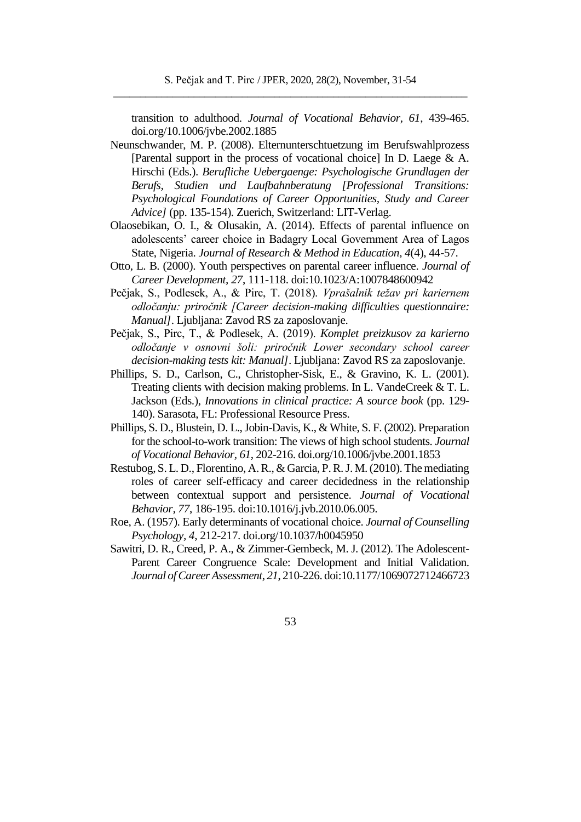transition to adulthood. *Journal of Vocational Behavior, 61*, 439-465. doi.org/10.1006/jvbe.2002.1885

- Neunschwander, M. P. (2008). Elternunterschtuetzung im Berufswahlprozess [Parental support in the process of vocational choice] In D. Laege & A. Hirschi (Eds.). *Berufliche Uebergaenge: Psychologische Grundlagen der Berufs, Studien und Laufbahnberatung [Professional Transitions: Psychological Foundations of Career Opportunities, Study and Career Advice]* (pp. 135-154). Zuerich, Switzerland: LIT-Verlag.
- Olaosebikan, O. I., & Olusakin, A. (2014). Effects of parental influence on adolescents' career choice in Badagry Local Government Area of Lagos State, Nigeria. *Journal of Research & Method in Education, 4*(4), 44-57.
- Otto, L. B. (2000). Youth perspectives on parental career influence. *Journal of Career Development, 27*, 111-118. doi:10.1023/A:1007848600942
- Pečjak, S., Podlesek, A., & Pirc, T. (2018). *Vprašalnik težav pri kariernem odločanju: priročnik [Career decision-making difficulties questionnaire: Manual]*. Ljubljana: Zavod RS za zaposlovanje.
- Pečjak, S., Pirc, T., & Podlesek, A. (2019). *Komplet preizkusov za karierno odločanje v osnovni šoli: priročnik Lower secondary school career decision-making tests kit: Manual]*. Ljubljana: Zavod RS za zaposlovanje.
- Phillips, S. D., Carlson, C., Christopher-Sisk, E., & Gravino, K. L. (2001). Treating clients with decision making problems. In L. VandeCreek & T. L. Jackson (Eds.), *Innovations in clinical practice: A source book* (pp. 129- 140). Sarasota, FL: Professional Resource Press.
- Phillips, S. D., Blustein, D. L., Jobin-Davis, K., & White, S. F. (2002). Preparation for the school-to-work transition: The views of high school students. *Journal of Vocational Behavior, 61*, 202-216. doi.org/10.1006/jvbe.2001.1853
- Restubog, S. L. D., Florentino, A. R., & Garcia, P. R. J. M. (2010). The mediating roles of career self-efficacy and career decidedness in the relationship between contextual support and persistence. *Journal of Vocational Behavior, 77*, 186-195. doi:10.1016/j.jvb.2010.06.005.
- Roe, A. (1957). Early determinants of vocational choice. *Journal of Counselling Psychology, 4*, 212-217. doi.org/10.1037/h0045950
- Sawitri, D. R., Creed, P. A., & Zimmer-Gembeck, M. J. (2012). The Adolescent-Parent Career Congruence Scale: Development and Initial Validation. *Journal of Career Assessment*, *21*, 210-226. doi:10.1177/1069072712466723